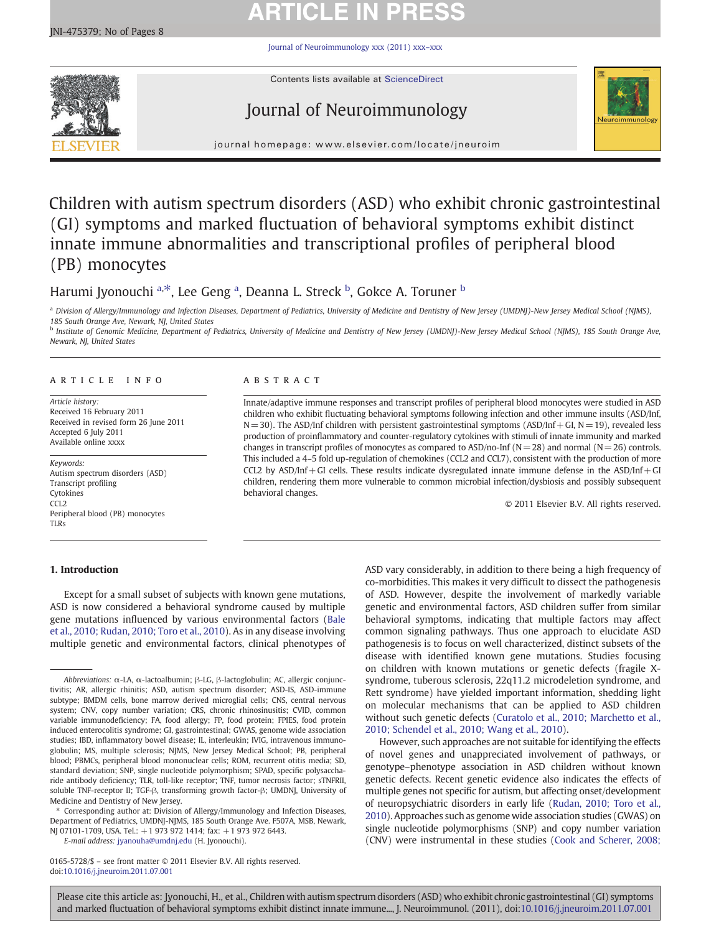# **ARTICLE IN PRESS**

[Journal of Neuroimmunology xxx \(2011\) xxx](http://dx.doi.org/10.1016/j.jneuroim.2011.07.001)–xxx



Contents lists available at ScienceDirect

# Journal of Neuroimmunology



journal homepage: www.elsevier.com/locate/jneuroim

# Children with autism spectrum disorders (ASD) who exhibit chronic gastrointestinal (GI) symptoms and marked fluctuation of behavioral symptoms exhibit distinct innate immune abnormalities and transcriptional profiles of peripheral blood (PB) monocytes

# Harumi Jyonouchi <sup>a, $\ast$ </sup>, Lee Geng <sup>a</sup>, Deanna L. Streck <sup>b</sup>, Gokce A. Toruner <sup>b</sup>

<sup>a</sup> Division of Allergy/Immunology and Infection Diseases, Department of Pediatrics, University of Medicine and Dentistry of New Jersey (UMDNJ)-New Jersey Medical School (NJMS), 185 South Orange Ave, Newark, NJ, United States

**b** Institute of Genomic Medicine, Department of Pediatrics, University of Medicine and Dentistry of New Jersey (UMDNJ)-New Jersey Medical School (NJMS), 185 South Orange Ave, Newark, NJ, United States

### article info abstract

Article history: Received 16 February 2011 Received in revised form 26 June 2011 Accepted 6 July 2011 Available online xxxx

Keywords: Autism spectrum disorders (ASD) Transcript profiling Cytokines CCL<sub>2</sub> Peripheral blood (PB) monocytes TLRs

# 1. Introduction

Innate/adaptive immune responses and transcript profiles of peripheral blood monocytes were studied in ASD children who exhibit fluctuating behavioral symptoms following infection and other immune insults (ASD/Inf,  $N=30$ ). The ASD/Inf children with persistent gastrointestinal symptoms (ASD/Inf + GI,  $N=19$ ), revealed less production of proinflammatory and counter-regulatory cytokines with stimuli of innate immunity and marked changes in transcript profiles of monocytes as compared to ASD/no-Inf ( $N=28$ ) and normal ( $N=26$ ) controls. This included a 4–5 fold up-regulation of chemokines (CCL2 and CCL7), consistent with the production of more CCL2 by ASD/Inf+GI cells. These results indicate dysregulated innate immune defense in the ASD/Inf+GI children, rendering them more vulnerable to common microbial infection/dysbiosis and possibly subsequent behavioral changes.

© 2011 Elsevier B.V. All rights reserved.

Except for a small subset of subjects with known gene mutations, ASD is now considered a behavioral syndrome caused by multiple gene mutations influenced by various environmental factors [\(Bale](#page-6-0) [et al., 2010; Rudan, 2010; Toro et al., 2010](#page-6-0)). As in any disease involving multiple genetic and environmental factors, clinical phenotypes of

Corresponding author at: Division of Allergy/Immunology and Infection Diseases, Department of Pediatrics, UMDNJ-NJMS, 185 South Orange Ave. F507A, MSB, Newark, NJ 07101-1709, USA. Tel.: +1 973 972 1414; fax: +1 973 972 6443.

E-mail address: [jyanouha@umdnj.edu](mailto:jyanouha@umdnj.edu) (H. Jyonouchi).

0165-5728/\$ – see front matter © 2011 Elsevier B.V. All rights reserved. doi:[10.1016/j.jneuroim.2011.07.001](http://dx.doi.org/10.1016/j.jneuroim.2011.07.001)

ASD vary considerably, in addition to there being a high frequency of co-morbidities. This makes it very difficult to dissect the pathogenesis of ASD. However, despite the involvement of markedly variable genetic and environmental factors, ASD children suffer from similar behavioral symptoms, indicating that multiple factors may affect common signaling pathways. Thus one approach to elucidate ASD pathogenesis is to focus on well characterized, distinct subsets of the disease with identified known gene mutations. Studies focusing on children with known mutations or genetic defects (fragile Xsyndrome, tuberous sclerosis, 22q11.2 microdeletion syndrome, and Rett syndrome) have yielded important information, shedding light on molecular mechanisms that can be applied to ASD children without such genetic defects [\(Curatolo et al., 2010; Marchetto et al.,](#page-7-0) [2010; Schendel et al., 2010; Wang et al., 2010](#page-7-0)).

However, such approaches are not suitable for identifying the effects of novel genes and unappreciated involvement of pathways, or genotype–phenotype association in ASD children without known genetic defects. Recent genetic evidence also indicates the effects of multiple genes not specific for autism, but affecting onset/development of neuropsychiatric disorders in early life ([Rudan, 2010; Toro et al.,](#page-7-0) [2010](#page-7-0)). Approaches such as genome wide association studies (GWAS) on single nucleotide polymorphisms (SNP) and copy number variation (CNV) were instrumental in these studies [\(Cook and Scherer, 2008;](#page-7-0)

Abbreviations: α-LA, α-lactoalbumin; β-LG, β-lactoglobulin; AC, allergic conjunctivitis; AR, allergic rhinitis; ASD, autism spectrum disorder; ASD-IS, ASD-immune subtype; BMDM cells, bone marrow derived microglial cells; CNS, central nervous system; CNV, copy number variation; CRS, chronic rhinosinusitis; CVID, common variable immunodeficiency; FA, food allergy; FP, food protein; FPIES, food protein induced enterocolitis syndrome; GI, gastrointestinal; GWAS, genome wide association studies; IBD, inflammatory bowel disease; IL, interleukin; IVIG, intravenous immunoglobulin; MS, multiple sclerosis; NJMS, New Jersey Medical School; PB, peripheral blood; PBMCs, peripheral blood mononuclear cells; ROM, recurrent otitis media; SD, standard deviation; SNP, single nucleotide polymorphism; SPAD, specific polysaccharide antibody deficiency; TLR, toll-like receptor; TNF, tumor necrosis factor; sTNFRII, soluble TNF-receptor II; TGF-β, transforming growth factor-β; UMDNJ, University of Medicine and Dentistry of New Jersey.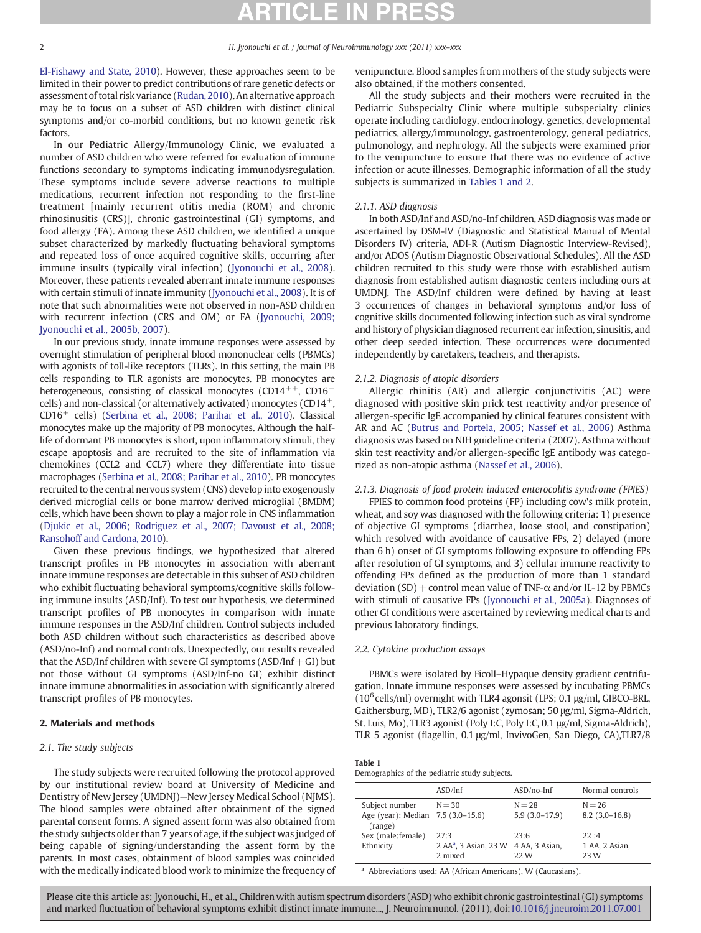<span id="page-1-0"></span>

[El-Fishawy and State, 2010\)](#page-7-0). However, these approaches seem to be limited in their power to predict contributions of rare genetic defects or assessment of total risk variance ([Rudan, 2010](#page-7-0)). An alternative approach may be to focus on a subset of ASD children with distinct clinical symptoms and/or co-morbid conditions, but no known genetic risk factors.

In our Pediatric Allergy/Immunology Clinic, we evaluated a number of ASD children who were referred for evaluation of immune functions secondary to symptoms indicating immunodysregulation. These symptoms include severe adverse reactions to multiple medications, recurrent infection not responding to the first-line treatment [mainly recurrent otitis media (ROM) and chronic rhinosinusitis (CRS)], chronic gastrointestinal (GI) symptoms, and food allergy (FA). Among these ASD children, we identified a unique subset characterized by markedly fluctuating behavioral symptoms and repeated loss of once acquired cognitive skills, occurring after immune insults (typically viral infection) ([Jyonouchi et al., 2008](#page-7-0)). Moreover, these patients revealed aberrant innate immune responses with certain stimuli of innate immunity [\(Jyonouchi et al., 2008](#page-7-0)). It is of note that such abnormalities were not observed in non-ASD children with recurrent infection (CRS and OM) or FA [\(Jyonouchi, 2009;](#page-7-0) [Jyonouchi et al., 2005b, 2007](#page-7-0)).

In our previous study, innate immune responses were assessed by overnight stimulation of peripheral blood mononuclear cells (PBMCs) with agonists of toll-like receptors (TLRs). In this setting, the main PB cells responding to TLR agonists are monocytes. PB monocytes are heterogeneous, consisting of classical monocytes (CD14<sup>++</sup>, CD16<sup>−</sup> cells) and non-classical (or alternatively activated) monocytes  $(CD14<sup>+</sup>)$ CD16<sup>+</sup> cells) [\(Serbina et al., 2008; Parihar et al., 2010](#page-7-0)). Classical monocytes make up the majority of PB monocytes. Although the halflife of dormant PB monocytes is short, upon inflammatory stimuli, they escape apoptosis and are recruited to the site of inflammation via chemokines (CCL2 and CCL7) where they differentiate into tissue macrophages ([Serbina et al., 2008; Parihar et al., 2010](#page-7-0)). PB monocytes recruited to the central nervous system (CNS) develop into exogenously derived microglial cells or bone marrow derived microglial (BMDM) cells, which have been shown to play a major role in CNS inflammation [\(Djukic et al., 2006; Rodriguez et al., 2007; Davoust et al., 2008;](#page-7-0) [Ransohoff and Cardona, 2010\)](#page-7-0).

Given these previous findings, we hypothesized that altered transcript profiles in PB monocytes in association with aberrant innate immune responses are detectable in this subset of ASD children who exhibit fluctuating behavioral symptoms/cognitive skills following immune insults (ASD/Inf). To test our hypothesis, we determined transcript profiles of PB monocytes in comparison with innate immune responses in the ASD/Inf children. Control subjects included both ASD children without such characteristics as described above (ASD/no-Inf) and normal controls. Unexpectedly, our results revealed that the ASD/Inf children with severe GI symptoms  $(ASD/Inf+GI)$  but not those without GI symptoms (ASD/Inf-no GI) exhibit distinct innate immune abnormalities in association with significantly altered transcript profiles of PB monocytes.

# 2. Materials and methods

# 2.1. The study subjects

The study subjects were recruited following the protocol approved by our institutional review board at University of Medicine and Dentistry of New Jersey (UMDNJ)—New Jersey Medical School (NJMS). The blood samples were obtained after obtainment of the signed parental consent forms. A signed assent form was also obtained from the study subjects older than 7 years of age, if the subject was judged of being capable of signing/understanding the assent form by the parents. In most cases, obtainment of blood samples was coincided with the medically indicated blood work to minimize the frequency of

venipuncture. Blood samples from mothers of the study subjects were also obtained, if the mothers consented.

All the study subjects and their mothers were recruited in the Pediatric Subspecialty Clinic where multiple subspecialty clinics operate including cardiology, endocrinology, genetics, developmental pediatrics, allergy/immunology, gastroenterology, general pediatrics, pulmonology, and nephrology. All the subjects were examined prior to the venipuncture to ensure that there was no evidence of active infection or acute illnesses. Demographic information of all the study subjects is summarized in Tables 1 and 2.

# 2.1.1. ASD diagnosis

In both ASD/Inf and ASD/no-Inf children, ASD diagnosis was made or ascertained by DSM-IV (Diagnostic and Statistical Manual of Mental Disorders IV) criteria, ADI-R (Autism Diagnostic Interview-Revised), and/or ADOS (Autism Diagnostic Observational Schedules). All the ASD children recruited to this study were those with established autism diagnosis from established autism diagnostic centers including ours at UMDNJ. The ASD/Inf children were defined by having at least 3 occurrences of changes in behavioral symptoms and/or loss of cognitive skills documented following infection such as viral syndrome and history of physician diagnosed recurrent ear infection, sinusitis, and other deep seeded infection. These occurrences were documented independently by caretakers, teachers, and therapists.

### 2.1.2. Diagnosis of atopic disorders

Allergic rhinitis (AR) and allergic conjunctivitis (AC) were diagnosed with positive skin prick test reactivity and/or presence of allergen-specific IgE accompanied by clinical features consistent with AR and AC [\(Butrus and Portela, 2005; Nassef et al., 2006](#page-7-0)) Asthma diagnosis was based on NIH guideline criteria (2007). Asthma without skin test reactivity and/or allergen-specific IgE antibody was categorized as non-atopic asthma ([Nassef et al., 2006\)](#page-7-0).

# 2.1.3. Diagnosis of food protein induced enterocolitis syndrome (FPIES)

FPIES to common food proteins (FP) including cow's milk protein, wheat, and soy was diagnosed with the following criteria: 1) presence of objective GI symptoms (diarrhea, loose stool, and constipation) which resolved with avoidance of causative FPs, 2) delayed (more than 6 h) onset of GI symptoms following exposure to offending FPs after resolution of GI symptoms, and 3) cellular immune reactivity to offending FPs defined as the production of more than 1 standard deviation  $(SD)$  + control mean value of TNF- $\alpha$  and/or IL-12 by PBMCs with stimuli of causative FPs [\(Jyonouchi et al., 2005a](#page-7-0)). Diagnoses of other GI conditions were ascertained by reviewing medical charts and previous laboratory findings.

# 2.2. Cytokine production assays

PBMCs were isolated by Ficoll–Hypaque density gradient centrifugation. Innate immune responses were assessed by incubating PBMCs ( $10^6$  cells/ml) overnight with TLR4 agonsit (LPS; 0.1  $\mu$ g/ml, GIBCO-BRL, Gaithersburg, MD), TLR2/6 agonist (zymosan; 50 μg/ml, Sigma-Aldrich, St. Luis, Mo), TLR3 agonist (Poly I:C, Poly I:C, 0.1 μg/ml, Sigma-Aldrich), TLR 5 agonist (flagellin, 0.1 μg/ml, InvivoGen, San Diego, CA),TLR7/8

### Table 1

Demographics of the pediatric study subjects.

|                                                                | ASD/Inf                                                             | $ASD/no-Inf$                | Normal controls                |
|----------------------------------------------------------------|---------------------------------------------------------------------|-----------------------------|--------------------------------|
| Subject number<br>Age (year): Median 7.5 (3.0-15.6)<br>(range) | $N = 30$                                                            | $N = 28$<br>$5.9(3.0-17.9)$ | $N = 26$<br>$8.2(3.0-16.8)$    |
| Sex (male: female)<br>Ethnicity                                | 27.3<br>2 AA <sup>a</sup> , 3 Asian, 23 W 4 AA, 3 Asian,<br>2 mixed | 23:6<br>22 W                | 22.4<br>1 AA, 2 Asian,<br>23 W |

<sup>a</sup> Abbreviations used: AA (African Americans), W (Caucasians).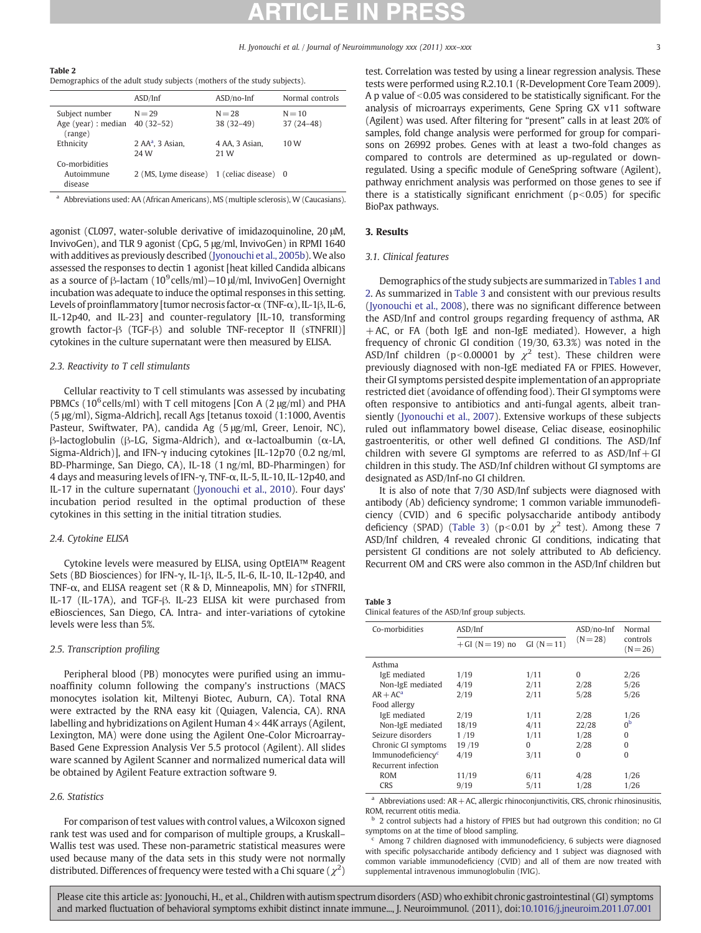<span id="page-2-0"></span>Table 2 Demographics of the adult study subjects (mothers of the study subjects).

|                                                  | ASD/Inf                                   | $ASD/no-Inf$            | Normal controls         |
|--------------------------------------------------|-------------------------------------------|-------------------------|-------------------------|
| Subject number<br>Age (year) : median<br>(range) | $N = 29$<br>$40(32-52)$                   | $N = 28$<br>$38(32-49)$ | $N = 10$<br>$37(24-48)$ |
| Ethnicity                                        | $2$ AA <sup>a</sup> , $3$ Asian,<br>24 W  | 4 AA, 3 Asian,<br>21 W  | 10 W                    |
| Co-morbidities<br>Autoimmune<br>disease          | 2 (MS, Lyme disease) 1 (celiac disease) 0 |                         |                         |

<sup>a</sup> Abbreviations used: AA (African Americans), MS (multiple sclerosis), W (Caucasians).

agonist (CL097, water-soluble derivative of imidazoquinoline, 20 μM, InvivoGen), and TLR 9 agonist (CpG, 5 μg/ml, InvivoGen) in RPMI 1640 with additives as previously described ([Jyonouchi et al., 2005b](#page-7-0)). We also assessed the responses to dectin 1 agonist [heat killed Candida albicans as a source of  $\beta$ -lactam (10<sup>9</sup> cells/ml)–10  $\mu$ /ml, InvivoGen] Overnight incubation was adequate to induce the optimal responses in this setting. Levels of proinflammatory [tumor necrosis factor-α (TNF-α), IL-1β, IL-6, IL-12p40, and IL-23] and counter-regulatory [IL-10, transforming growth factor-β (TGF-β) and soluble TNF-receptor II (sTNFRII)] cytokines in the culture supernatant were then measured by ELISA.

# 2.3. Reactivity to T cell stimulants

Cellular reactivity to T cell stimulants was assessed by incubating PBMCs (10<sup>6</sup> cells/ml) with T cell mitogens [Con A (2  $\mu$ g/ml) and PHA (5 μg/ml), Sigma-Aldrich], recall Ags [tetanus toxoid (1:1000, Aventis Pasteur, Swiftwater, PA), candida Ag (5 μg/ml, Greer, Lenoir, NC), β-lactoglobulin (β-LG, Sigma-Aldrich), and α-lactoalbumin (α-LA, Sigma-Aldrich)], and IFN-γ inducing cytokines [IL-12p70 (0.2 ng/ml, BD-Pharminge, San Diego, CA), IL-18 (1 ng/ml, BD-Pharmingen) for 4 days and measuring levels of IFN-γ, TNF-α, IL-5, IL-10, IL-12p40, and IL-17 in the culture supernatant ([Jyonouchi et al., 2010\)](#page-7-0). Four days' incubation period resulted in the optimal production of these cytokines in this setting in the initial titration studies.

## 2.4. Cytokine ELISA

Cytokine levels were measured by ELISA, using OptEIA™ Reagent Sets (BD Biosciences) for IFN-γ, IL-1β, IL-5, IL-6, IL-10, IL-12p40, and TNF-α, and ELISA reagent set (R & D, Minneapolis, MN) for sTNFRII, IL-17 (IL-17A), and TGF-β. IL-23 ELISA kit were purchased from eBiosciences, San Diego, CA. Intra- and inter-variations of cytokine levels were less than 5%.

# 2.5. Transcription profiling

Peripheral blood (PB) monocytes were purified using an immunoaffinity column following the company's instructions (MACS monocytes isolation kit, Miltenyi Biotec, Auburn, CA). Total RNA were extracted by the RNA easy kit (Quiagen, Valencia, CA). RNA labelling and hybridizations on Agilent Human  $4 \times 44$ K arrays (Agilent, Lexington, MA) were done using the Agilent One-Color Microarray-Based Gene Expression Analysis Ver 5.5 protocol (Agilent). All slides ware scanned by Agilent Scanner and normalized numerical data will be obtained by Agilent Feature extraction software 9.

### 2.6. Statistics

For comparison of test values with control values, a Wilcoxon signed rank test was used and for comparison of multiple groups, a Kruskall– Wallis test was used. These non-parametric statistical measures were used because many of the data sets in this study were not normally distributed. Differences of frequency were tested with a Chi square ( $\chi^2$ )

test. Correlation was tested by using a linear regression analysis. These tests were performed using R.2.10.1 (R-Development Core Team 2009). A p value of  $\leq$  0.05 was considered to be statistically significant. For the analysis of microarrays experiments, Gene Spring GX v11 software (Agilent) was used. After filtering for "present" calls in at least 20% of samples, fold change analysis were performed for group for comparisons on 26992 probes. Genes with at least a two-fold changes as compared to controls are determined as up-regulated or downregulated. Using a specific module of GeneSpring software (Agilent), pathway enrichment analysis was performed on those genes to see if there is a statistically significant enrichment ( $p<0.05$ ) for specific BioPax pathways.

# 3. Results

### 3.1. Clinical features

Demographics of the study subjects are summarized in [Tables 1 and](#page-1-0) [2](#page-1-0). As summarized in Table 3 and consistent with our previous results [\(Jyonouchi et al., 2008\)](#page-7-0), there was no significant difference between the ASD/Inf and control groups regarding frequency of asthma, AR +AC, or FA (both IgE and non-IgE mediated). However, a high frequency of chronic GI condition (19/30, 63.3%) was noted in the ASD/Inf children (p<0.00001 by  $\chi^2$  test). These children were previously diagnosed with non-IgE mediated FA or FPIES. However, their GI symptoms persisted despite implementation of an appropriate restricted diet (avoidance of offending food). Their GI symptoms were often responsive to antibiotics and anti-fungal agents, albeit transiently [\(Jyonouchi et al., 2007](#page-7-0)). Extensive workups of these subjects ruled out inflammatory bowel disease, Celiac disease, eosinophilic gastroenteritis, or other well defined GI conditions. The ASD/Inf children with severe GI symptoms are referred to as  $ASD/Inf + GI$ children in this study. The ASD/Inf children without GI symptoms are designated as ASD/Inf-no GI children.

It is also of note that 7/30 ASD/Inf subjects were diagnosed with antibody (Ab) deficiency syndrome; 1 common variable immunodeficiency (CVID) and 6 specific polysaccharide antibody antibody deficiency (SPAD) (Table 3) ( $p$ <0.01 by  $\chi^2$  test). Among these 7 ASD/Inf children, 4 revealed chronic GI conditions, indicating that persistent GI conditions are not solely attributed to Ab deficiency. Recurrent OM and CRS were also common in the ASD/Inf children but

# Table 3

Clinical features of the ASD/Inf group subjects.

| Co-morbidities                | ASD/Inf        |              | $ASD/no-Inf$ | Normal                 |
|-------------------------------|----------------|--------------|--------------|------------------------|
|                               | $+GI(N=19)$ no | $GI(N = 11)$ | $(N = 28)$   | controls<br>$(N = 26)$ |
| Asthma                        |                |              |              |                        |
| IgE mediated                  | 1/19           | 1/11         | $\Omega$     | 2/26                   |
| Non-IgE mediated              | 4/19           | 2/11         | 2/28         | 5/26                   |
| $AR + AC^a$                   | 2/19           | 2/11         | 5/28         | 5/26                   |
| Food allergy                  |                |              |              |                        |
| IgE mediated                  | 2/19           | 1/11         | 2/28         | 1/26                   |
| Non-IgE mediated              | 18/19          | 4/11         | 22/28        | 0 <sub>p</sub>         |
| Seizure disorders             | 1/19           | 1/11         | 1/28         | $\Omega$               |
| Chronic GI symptoms           | 19/19          | $\Omega$     | 2/28         | $\Omega$               |
| Immunodeficiency <sup>c</sup> | 4/19           | 3/11         | $\Omega$     | O                      |
| Recurrent infection           |                |              |              |                        |
| <b>ROM</b>                    | 11/19          | 6/11         | 4/28         | 1/26                   |
| <b>CRS</b>                    | 9/19           | 5/11         | 1/28         | 1/26                   |

 $a$  Abbreviations used: AR + AC, allergic rhinoconjunctivitis, CRS, chronic rhinosinusitis, ROM, recurrent otitis media.

b 2 control subjects had a history of FPIES but had outgrown this condition; no GI symptoms on at the time of blood sampling.

Among 7 children diagnosed with immunodeficiency, 6 subjects were diagnosed with specific polysaccharide antibody deficiency and 1 subject was diagnosed with common variable immunodeficiency (CVID) and all of them are now treated with supplemental intravenous immunoglobulin (IVIG).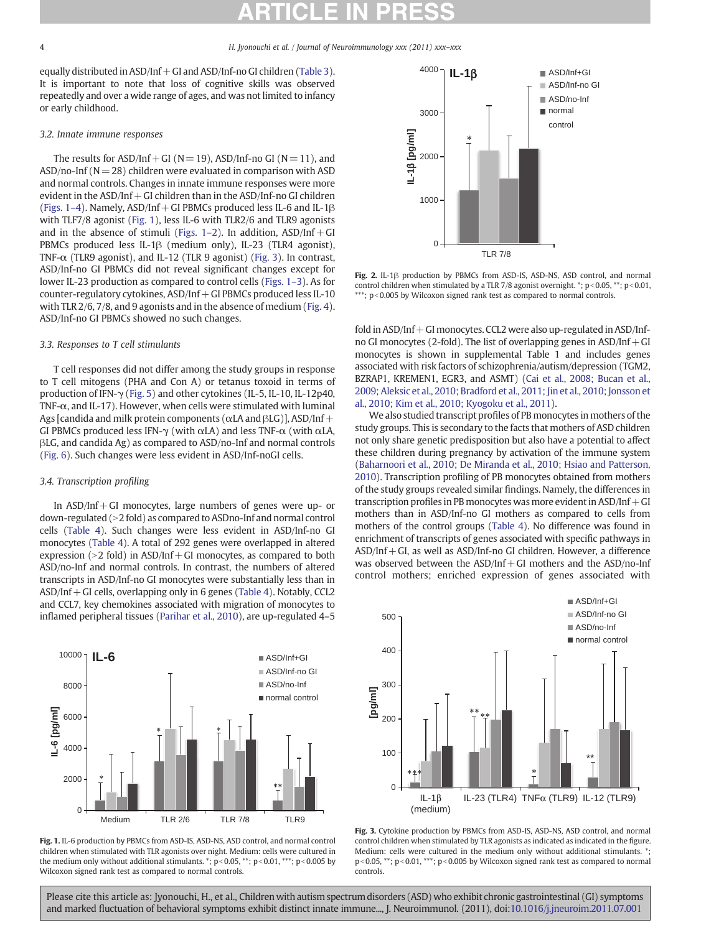equally distributed in ASD/Inf+GI and ASD/Inf-no GI children ([Table 3\)](#page-2-0). It is important to note that loss of cognitive skills was observed repeatedly and over a wide range of ages, and was not limited to infancy or early childhood.

# 3.2. Innate immune responses

The results for  $ASD/Inf + GI (N= 19)$ ,  $ASD/Inf -no GI (N= 11)$ , and  $ASD/no-Inf (N= 28)$  children were evaluated in comparison with ASD and normal controls. Changes in innate immune responses were more evident in the  $ASD/Inf + GI$  children than in the  $ASD/Inf$ -no GI children (Figs.  $1-4$ ). Namely, ASD/Inf + GI PBMCs produced less IL-6 and IL-1 $\beta$ with TLF7/8 agonist (Fig. 1), less IL-6 with TLR2/6 and TLR9 agonists and in the absence of stimuli (Figs.  $1-2$ ). In addition,  $ASD/Inf + GI$ PBMCs produced less IL-1β (medium only), IL-23 (TLR4 agonist), TNF-α (TLR9 agonist), and IL-12 (TLR 9 agonist) (Fig. 3). In contrast, ASD/Inf-no GI PBMCs did not reveal significant changes except for lower IL-23 production as compared to control cells (Figs. 1–3). As for counter-regulatory cytokines,  $ASD/Inf + GI$  PBMCs produced less IL-10 with TLR 2/6, 7/8, and 9 agonists and in the absence of medium ([Fig. 4](#page-4-0)). ASD/Inf-no GI PBMCs showed no such changes.

# 3.3. Responses to T cell stimulants

T cell responses did not differ among the study groups in response to T cell mitogens (PHA and Con A) or tetanus toxoid in terms of production of IFN-γ [\(Fig. 5\)](#page-4-0) and other cytokines (IL-5, IL-10, IL-12p40, TNF- $\alpha$ , and IL-17). However, when cells were stimulated with luminal Ags [candida and milk protein components ( $\alpha$ LA and  $\beta$ LG)], ASD/Inf + GI PBMCs produced less IFN- $\gamma$  (with  $\alpha$ LA) and less TNF- $\alpha$  (with  $\alpha$ LA, βLG, and candida Ag) as compared to ASD/no-Inf and normal controls [\(Fig. 6](#page-4-0)). Such changes were less evident in ASD/Inf-noGI cells.

# 3.4. Transcription profiling

In  $ASD/Inf + GI$  monocytes, large numbers of genes were up- or down-regulated (N2 fold) as compared to ASDno-Inf and normal control cells [\(Table 4](#page-4-0)). Such changes were less evident in ASD/Inf-no GI monocytes ([Table 4\)](#page-4-0). A total of 292 genes were overlapped in altered expression ( $>$ 2 fold) in ASD/Inf + GI monocytes, as compared to both ASD/no-Inf and normal controls. In contrast, the numbers of altered transcripts in ASD/Inf-no GI monocytes were substantially less than in ASD/Inf+GI cells, overlapping only in 6 genes ([Table 4](#page-4-0)). Notably, CCL2 and CCL7, key chemokines associated with migration of monocytes to inflamed peripheral tissues [\(Parihar et al., 2010](#page-7-0)), are up-regulated 4–5







Fig. 2. IL-1β production by PBMCs from ASD-IS, ASD-NS, ASD control, and normal control children when stimulated by a TLR 7/8 agonist overnight.  $\degree$ ; p<0.05,  $\degree$ \*; p<0.01,  $***$ ; p<0.005 by Wilcoxon signed rank test as compared to normal controls.

fold in  $ASD/Inf + GI$  monocytes. CCL2 were also up-regulated in  $ASD/Inf$ no GI monocytes (2-fold). The list of overlapping genes in  $ASD/Inf + GI$ monocytes is shown in supplemental Table 1 and includes genes associated with risk factors of schizophrenia/autism/depression (TGM2, BZRAP1, KREMEN1, EGR3, and ASMT) [\(Cai et al., 2008; Bucan et al.,](#page-7-0) [2009; Aleksic et al., 2010; Bradford et al., 2011; Jin et al., 2010; Jonsson et](#page-7-0) [al., 2010; Kim et al., 2010; Kyogoku et al., 2011](#page-7-0)).

We also studied transcript profiles of PB monocytes in mothers of the study groups. This is secondary to the facts that mothers of ASD children not only share genetic predisposition but also have a potential to affect these children during pregnancy by activation of the immune system [\(Baharnoori et al., 2010; De Miranda et al., 2010; Hsiao and Patterson,](#page-6-0) [2010\)](#page-6-0). Transcription profiling of PB monocytes obtained from mothers of the study groups revealed similar findings. Namely, the differences in transcription profiles in PB monocytes was more evident in  $ASD/Inf + GI$ mothers than in ASD/Inf-no GI mothers as compared to cells from mothers of the control groups [\(Table 4\)](#page-4-0). No difference was found in enrichment of transcripts of genes associated with specific pathways in ASD/Inf+GI, as well as ASD/Inf-no GI children. However, a difference was observed between the  $ASD/Inf + GI$  mothers and the  $ASD/no-Inf$ control mothers; enriched expression of genes associated with



Fig. 3. Cytokine production by PBMCs from ASD-IS, ASD-NS, ASD control, and normal control children when stimulated by TLR agonists as indicated as indicated in the figure. Medium: cells were cultured in the medium only without additional stimulants.  $*$ ;  $p<$  0.05, \*\*;  $p<$  0.01, \*\*\*;  $p<$  0.005 by Wilcoxon signed rank test as compared to normal controls.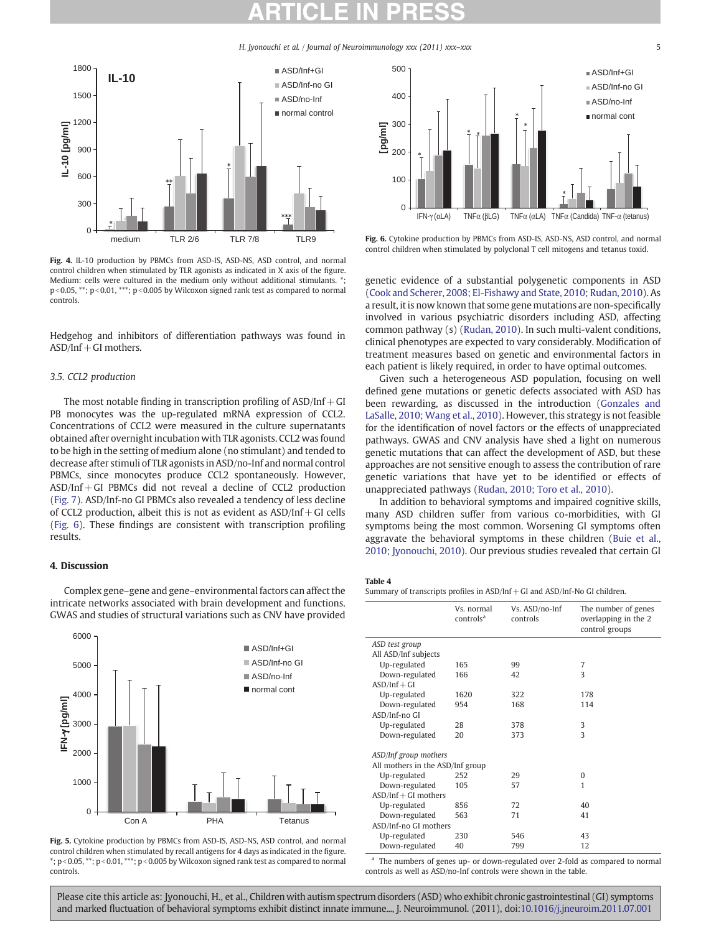<span id="page-4-0"></span>

Fig. 4. IL-10 production by PBMCs from ASD-IS, ASD-NS, ASD control, and normal control children when stimulated by TLR agonists as indicated in X axis of the figure. Medium: cells were cultured in the medium only without additional stimulants.  $*$ :  $p<0.05$ , \*\*;  $p<0.01$ , \*\*\*;  $p<0.005$  by Wilcoxon signed rank test as compared to normal controls.

Hedgehog and inhibitors of differentiation pathways was found in  $ASD/Inf + GI$  mothers.

## 3.5. CCL2 production

The most notable finding in transcription profiling of  $ASD/Inf + GI$ PB monocytes was the up-regulated mRNA expression of CCL2. Concentrations of CCL2 were measured in the culture supernatants obtained after overnight incubation with TLR agonists. CCL2 was found to be high in the setting of medium alone (no stimulant) and tended to decrease after stimuli of TLR agonists in ASD/no-Inf and normal control PBMCs, since monocytes produce CCL2 spontaneously. However, ASD/Inf+GI PBMCs did not reveal a decline of CCL2 production [\(Fig. 7](#page-5-0)). ASD/Inf-no GI PBMCs also revealed a tendency of less decline of CCL2 production, albeit this is not as evident as  $ASD/Inf + GI$  cells (Fig. 6). These findings are consistent with transcription profiling results.

## 4. Discussion

Complex gene–gene and gene–environmental factors can affect the intricate networks associated with brain development and functions. GWAS and studies of structural variations such as CNV have provided



Fig. 5. Cytokine production by PBMCs from ASD-IS, ASD-NS, ASD control, and normal control children when stimulated by recall antigens for 4 days as indicated in the figure.  $*; p<0.05, **; p<0.01, ***; p<0.005$  by Wilcoxon signed rank test as compared to normal controls.



Fig. 6. Cytokine production by PBMCs from ASD-IS, ASD-NS, ASD control, and normal control children when stimulated by polyclonal T cell mitogens and tetanus toxid.

genetic evidence of a substantial polygenetic components in ASD [\(Cook and Scherer, 2008; El-Fishawy and State, 2010; Rudan, 2010](#page-7-0)). As a result, it is now known that some gene mutations are non-specifically involved in various psychiatric disorders including ASD, affecting common pathway (s) [\(Rudan, 2010](#page-7-0)). In such multi-valent conditions, clinical phenotypes are expected to vary considerably. Modification of treatment measures based on genetic and environmental factors in each patient is likely required, in order to have optimal outcomes.

Given such a heterogeneous ASD population, focusing on well defined gene mutations or genetic defects associated with ASD has been rewarding, as discussed in the introduction ([Gonzales and](#page-7-0) [LaSalle, 2010; Wang et al., 2010](#page-7-0)). However, this strategy is not feasible for the identification of novel factors or the effects of unappreciated pathways. GWAS and CNV analysis have shed a light on numerous genetic mutations that can affect the development of ASD, but these approaches are not sensitive enough to assess the contribution of rare genetic variations that have yet to be identified or effects of unappreciated pathways [\(Rudan, 2010; Toro et al., 2010\)](#page-7-0).

In addition to behavioral symptoms and impaired cognitive skills, many ASD children suffer from various co-morbidities, with GI symptoms being the most common. Worsening GI symptoms often aggravate the behavioral symptoms in these children ([Buie et al.,](#page-7-0) [2010; Jyonouchi, 2010\)](#page-7-0). Our previous studies revealed that certain GI

### Table 4

Summary of transcripts profiles in ASD/Inf+GI and ASD/Inf-No GI children.

|                                  | Vs. normal<br>controls <sup>a</sup> | Vs. ASD/no-Inf<br>controls | The number of genes<br>overlapping in the 2<br>control groups |
|----------------------------------|-------------------------------------|----------------------------|---------------------------------------------------------------|
| ASD test group                   |                                     |                            |                                                               |
| All ASD/Inf subjects             |                                     |                            |                                                               |
| Up-regulated                     | 165                                 | 99                         | 7                                                             |
| Down-regulated                   | 166                                 | 42                         | 3                                                             |
| $ASD/Inf + GI$                   |                                     |                            |                                                               |
| Up-regulated                     | 1620                                | 322                        | 178                                                           |
| Down-regulated                   | 954                                 | 168                        | 114                                                           |
| ASD/Inf-no GI                    |                                     |                            |                                                               |
| Up-regulated                     | 28                                  | 378                        | 3                                                             |
| Down-regulated                   | 20                                  | 373                        | $\overline{\mathbf{3}}$                                       |
| ASD/Inf group mothers            |                                     |                            |                                                               |
| All mothers in the ASD/Inf group |                                     |                            |                                                               |
| Up-regulated                     | 252                                 | 29                         | 0                                                             |
| Down-regulated                   | 105                                 | 57                         | 1                                                             |
| $ASD/Inf + GI$ mothers           |                                     |                            |                                                               |
| Up-regulated                     | 856                                 | 72                         | 40                                                            |
| Down-regulated                   | 563                                 | 71                         | 41                                                            |
| ASD/Inf-no GI mothers            |                                     |                            |                                                               |
| Up-regulated                     | 230                                 | 546                        | 43                                                            |
| Down-regulated                   | 40                                  | 799                        | 12                                                            |

<sup>a</sup> The numbers of genes up- or down-regulated over 2-fold as compared to normal controls as well as ASD/no-Inf controls were shown in the table.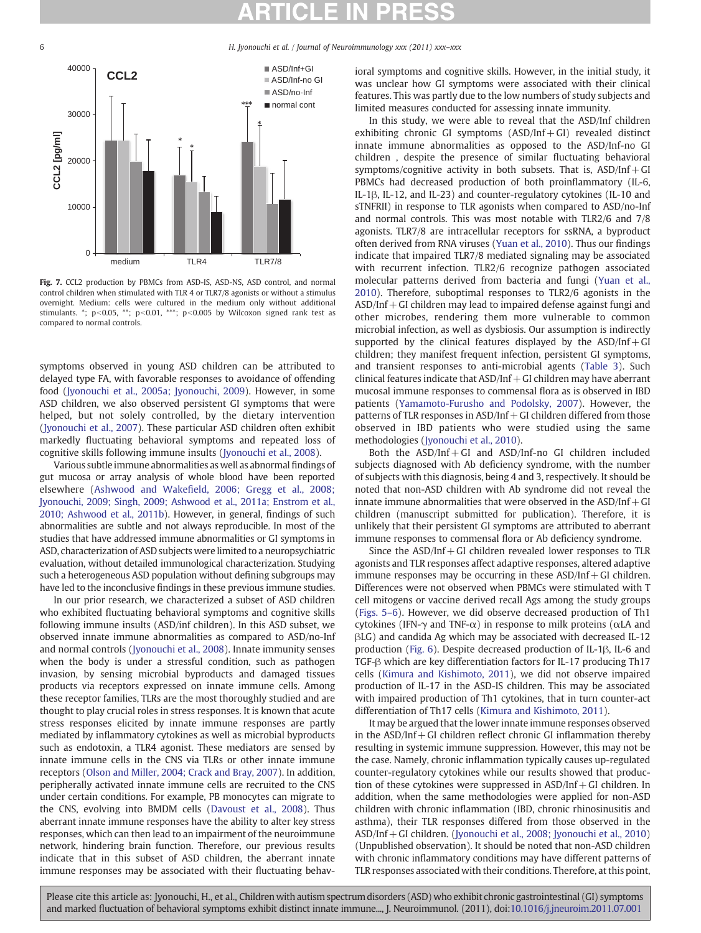<span id="page-5-0"></span>

Fig. 7. CCL2 production by PBMCs from ASD-IS, ASD-NS, ASD control, and normal control children when stimulated with TLR 4 or TLR7/8 agonists or without a stimulus overnight. Medium: cells were cultured in the medium only without additional stimulants. \*; p<0.05, \*\*; p<0.01, \*\*\*; p<0.005 by Wilcoxon signed rank test as compared to normal controls.

symptoms observed in young ASD children can be attributed to delayed type FA, with favorable responses to avoidance of offending food ([Jyonouchi et al., 2005a; Jyonouchi, 2009](#page-7-0)). However, in some ASD children, we also observed persistent GI symptoms that were helped, but not solely controlled, by the dietary intervention [\(Jyonouchi et al., 2007](#page-7-0)). These particular ASD children often exhibit markedly fluctuating behavioral symptoms and repeated loss of cognitive skills following immune insults ([Jyonouchi et al., 2008](#page-7-0)).

Various subtle immune abnormalities as well as abnormal findings of gut mucosa or array analysis of whole blood have been reported elsewhere (Ashwood and Wakefi[eld, 2006; Gregg et al., 2008;](#page-6-0) [Jyonouchi, 2009; Singh, 2009; Ashwood et al., 2011a; Enstrom et al.,](#page-6-0) [2010; Ashwood et al., 2011b](#page-6-0)). However, in general, findings of such abnormalities are subtle and not always reproducible. In most of the studies that have addressed immune abnormalities or GI symptoms in ASD, characterization of ASD subjects were limited to a neuropsychiatric evaluation, without detailed immunological characterization. Studying such a heterogeneous ASD population without defining subgroups may have led to the inconclusive findings in these previous immune studies.

In our prior research, we characterized a subset of ASD children who exhibited fluctuating behavioral symptoms and cognitive skills following immune insults (ASD/inf children). In this ASD subset, we observed innate immune abnormalities as compared to ASD/no-Inf and normal controls ([Jyonouchi et al., 2008\)](#page-7-0). Innate immunity senses when the body is under a stressful condition, such as pathogen invasion, by sensing microbial byproducts and damaged tissues products via receptors expressed on innate immune cells. Among these receptor families, TLRs are the most thoroughly studied and are thought to play crucial roles in stress responses. It is known that acute stress responses elicited by innate immune responses are partly mediated by inflammatory cytokines as well as microbial byproducts such as endotoxin, a TLR4 agonist. These mediators are sensed by innate immune cells in the CNS via TLRs or other innate immune receptors [\(Olson and Miller, 2004; Crack and Bray, 2007](#page-7-0)). In addition, peripherally activated innate immune cells are recruited to the CNS under certain conditions. For example, PB monocytes can migrate to the CNS, evolving into BMDM cells [\(Davoust et al., 2008\)](#page-7-0). Thus aberrant innate immune responses have the ability to alter key stress responses, which can then lead to an impairment of the neuroimmune network, hindering brain function. Therefore, our previous results indicate that in this subset of ASD children, the aberrant innate immune responses may be associated with their fluctuating behavioral symptoms and cognitive skills. However, in the initial study, it was unclear how GI symptoms were associated with their clinical features. This was partly due to the low numbers of study subjects and limited measures conducted for assessing innate immunity.

In this study, we were able to reveal that the ASD/Inf children exhibiting chronic GI symptoms  $(ASD/Inf + GI)$  revealed distinct innate immune abnormalities as opposed to the ASD/Inf-no GI children , despite the presence of similar fluctuating behavioral symptoms/cognitive activity in both subsets. That is,  $ASD/Inf+GI$ PBMCs had decreased production of both proinflammatory (IL-6, IL-1β, IL-12, and IL-23) and counter-regulatory cytokines (IL-10 and sTNFRII) in response to TLR agonists when compared to ASD/no-Inf and normal controls. This was most notable with TLR2/6 and 7/8 agonists. TLR7/8 are intracellular receptors for ssRNA, a byproduct often derived from RNA viruses ([Yuan et al., 2010\)](#page-7-0). Thus our findings indicate that impaired TLR7/8 mediated signaling may be associated with recurrent infection. TLR2/6 recognize pathogen associated molecular patterns derived from bacteria and fungi ([Yuan et al.,](#page-7-0) [2010\)](#page-7-0). Therefore, suboptimal responses to TLR2/6 agonists in the  $ASD/Inf + GI$  children may lead to impaired defense against fungi and other microbes, rendering them more vulnerable to common microbial infection, as well as dysbiosis. Our assumption is indirectly supported by the clinical features displayed by the  $ASD/Inf+GI$ children; they manifest frequent infection, persistent GI symptoms, and transient responses to anti-microbial agents [\(Table 3\)](#page-2-0). Such clinical features indicate that  $ASD/Inf + GI$  children may have aberrant mucosal immune responses to commensal flora as is observed in IBD patients [\(Yamamoto-Furusho and Podolsky, 2007\)](#page-7-0). However, the patterns of TLR responses in  $ASD/Inf + GI$  children differed from those observed in IBD patients who were studied using the same methodologies [\(Jyonouchi et al., 2010\)](#page-7-0).

Both the  $ASD/Inf + GI$  and  $ASD/Inf - no GI$  children included subjects diagnosed with Ab deficiency syndrome, with the number of subjects with this diagnosis, being 4 and 3, respectively. It should be noted that non-ASD children with Ab syndrome did not reveal the innate immune abnormalities that were observed in the  $ASD/Inf + GI$ children (manuscript submitted for publication). Therefore, it is unlikely that their persistent GI symptoms are attributed to aberrant immune responses to commensal flora or Ab deficiency syndrome.

Since the  $ASD/Inf + GI$  children revealed lower responses to TLR agonists and TLR responses affect adaptive responses, altered adaptive immune responses may be occurring in these  $ASD/Inf + GI$  children. Differences were not observed when PBMCs were stimulated with T cell mitogens or vaccine derived recall Ags among the study groups [\(Figs. 5](#page-4-0)–6). However, we did observe decreased production of Th1 cytokines (IFN-γ and TNF-α) in response to milk proteins (αLA and βLG) and candida Ag which may be associated with decreased IL-12 production [\(Fig. 6](#page-4-0)). Despite decreased production of IL-1β, IL-6 and TGF-β which are key differentiation factors for IL-17 producing Th17 cells ([Kimura and Kishimoto, 2011](#page-7-0)), we did not observe impaired production of IL-17 in the ASD-IS children. This may be associated with impaired production of Th1 cytokines, that in turn counter-act differentiation of Th17 cells [\(Kimura and Kishimoto, 2011](#page-7-0)).

It may be argued that the lower innate immune responses observed in the  $ASD/Inf + GI$  children reflect chronic  $GI$  inflammation thereby resulting in systemic immune suppression. However, this may not be the case. Namely, chronic inflammation typically causes up-regulated counter-regulatory cytokines while our results showed that production of these cytokines were suppressed in ASD/Inf+GI children. In addition, when the same methodologies were applied for non-ASD children with chronic inflammation (IBD, chronic rhinosinusitis and asthma), their TLR responses differed from those observed in the ASD/Inf+GI children. [\(Jyonouchi et al., 2008; Jyonouchi et al., 2010](#page-7-0)) (Unpublished observation). It should be noted that non-ASD children with chronic inflammatory conditions may have different patterns of TLR responses associated with their conditions. Therefore, at this point,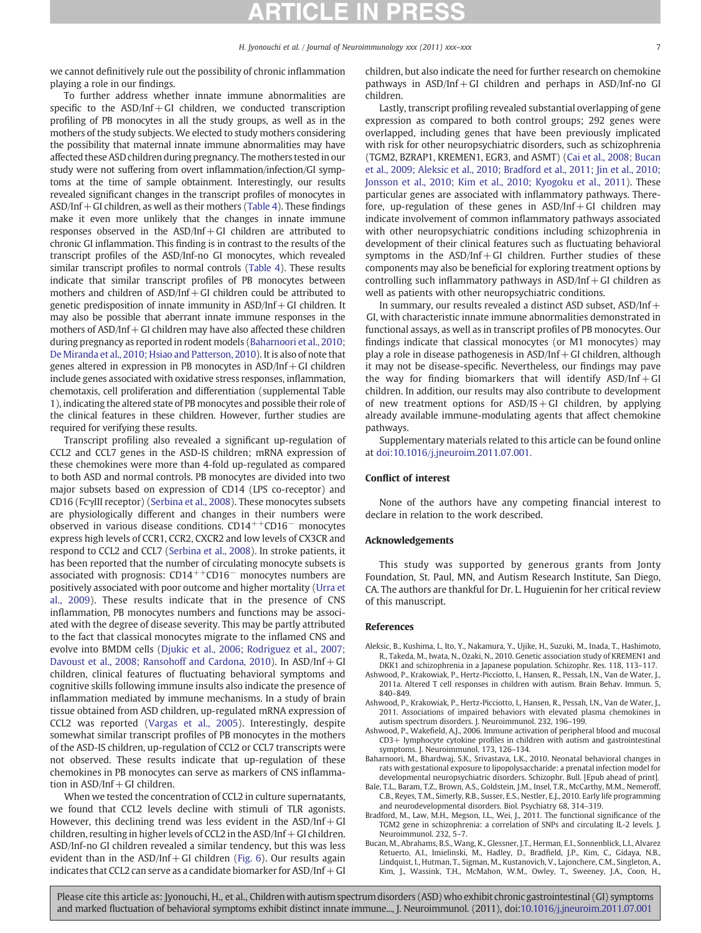<span id="page-6-0"></span>we cannot definitively rule out the possibility of chronic inflammation playing a role in our findings.

To further address whether innate immune abnormalities are specific to the  $ASD/Inf + GI$  children, we conducted transcription profiling of PB monocytes in all the study groups, as well as in the mothers of the study subjects. We elected to study mothers considering the possibility that maternal innate immune abnormalities may have affected these ASD children during pregnancy. The mothers tested in our study were not suffering from overt inflammation/infection/GI symptoms at the time of sample obtainment. Interestingly, our results revealed significant changes in the transcript profiles of monocytes in  $ASD/Inf + GI$  children, as well as their mothers [\(Table 4\)](#page-4-0). These findings make it even more unlikely that the changes in innate immune responses observed in the ASD/Inf+GI children are attributed to chronic GI inflammation. This finding is in contrast to the results of the transcript profiles of the ASD/Inf-no GI monocytes, which revealed similar transcript profiles to normal controls [\(Table 4](#page-4-0)). These results indicate that similar transcript profiles of PB monocytes between mothers and children of  $ASD/Inf + GI$  children could be attributed to genetic predisposition of innate immunity in ASD/Inf + GI children. It may also be possible that aberrant innate immune responses in the mothers of  $ASD/Inf + GI$  children may have also affected these children during pregnancy as reported in rodent models (Baharnoori et al., 2010; De Miranda et al., 2010; Hsiao and Patterson, 2010). It is also of note that genes altered in expression in PB monocytes in  $ASD/Inf + GI$  children include genes associated with oxidative stress responses, inflammation, chemotaxis, cell proliferation and differentiation (supplemental Table 1), indicating the altered state of PB monocytes and possible their role of the clinical features in these children. However, further studies are required for verifying these results.

Transcript profiling also revealed a significant up-regulation of CCL2 and CCL7 genes in the ASD-IS children; mRNA expression of these chemokines were more than 4-fold up-regulated as compared to both ASD and normal controls. PB monocytes are divided into two major subsets based on expression of CD14 (LPS co-receptor) and CD16 (FcγIII receptor) [\(Serbina et al., 2008\)](#page-7-0). These monocytes subsets are physiologically different and changes in their numbers were observed in various disease conditions. CD14++CD16<sup>−</sup> monocytes express high levels of CCR1, CCR2, CXCR2 and low levels of CX3CR and respond to CCL2 and CCL7 ([Serbina et al., 2008](#page-7-0)). In stroke patients, it has been reported that the number of circulating monocyte subsets is associated with prognosis:  $CD14^{++}CD16^-$  monocytes numbers are positively associated with poor outcome and higher mortality ([Urra et](#page-7-0) [al., 2009\)](#page-7-0). These results indicate that in the presence of CNS inflammation, PB monocytes numbers and functions may be associated with the degree of disease severity. This may be partly attributed to the fact that classical monocytes migrate to the inflamed CNS and evolve into BMDM cells [\(Djukic et al., 2006; Rodriguez et al., 2007;](#page-7-0) [Davoust et al., 2008; Ransohoff and Cardona, 2010](#page-7-0)). In ASD/Inf+GI children, clinical features of fluctuating behavioral symptoms and cognitive skills following immune insults also indicate the presence of inflammation mediated by immune mechanisms. In a study of brain tissue obtained from ASD children, up-regulated mRNA expression of CCL2 was reported [\(Vargas et al., 2005](#page-7-0)). Interestingly, despite somewhat similar transcript profiles of PB monocytes in the mothers of the ASD-IS children, up-regulation of CCL2 or CCL7 transcripts were not observed. These results indicate that up-regulation of these chemokines in PB monocytes can serve as markers of CNS inflammation in  $ASD/Inf + GI$  children.

When we tested the concentration of CCL2 in culture supernatants, we found that CCL2 levels decline with stimuli of TLR agonists. However, this declining trend was less evident in the  $ASD/Inf+GI$ children, resulting in higher levels of CCL2 in the ASD/Inf  $+$  GI children. ASD/Inf-no GI children revealed a similar tendency, but this was less evident than in the  $ASD/Inf + GI$  children [\(Fig. 6\)](#page-4-0). Our results again indicates that CCL2 can serve as a candidate biomarker for  $ASD/Inf+GI$  children, but also indicate the need for further research on chemokine pathways in  $ASD/Inf + GI$  children and perhaps in  $ASD/Inf$ -no GI children.

Lastly, transcript profiling revealed substantial overlapping of gene expression as compared to both control groups; 292 genes were overlapped, including genes that have been previously implicated with risk for other neuropsychiatric disorders, such as schizophrenia (TGM2, BZRAP1, KREMEN1, EGR3, and ASMT) [\(Cai et al., 2008; Bucan](#page-7-0) [et al., 2009; Aleksic et al., 2010; Bradford et al., 2011; Jin et al., 2010;](#page-7-0) [Jonsson et al., 2010; Kim et al., 2010; Kyogoku et al., 2011](#page-7-0)). These particular genes are associated with inflammatory pathways. Therefore, up-regulation of these genes in  $ASD/Inf+GI$  children may indicate involvement of common inflammatory pathways associated with other neuropsychiatric conditions including schizophrenia in development of their clinical features such as fluctuating behavioral symptoms in the  $ASD/Inf + GI$  children. Further studies of these components may also be beneficial for exploring treatment options by controlling such inflammatory pathways in  $ASD/Inf + GI$  children as well as patients with other neuropsychiatric conditions.

In summary, our results revealed a distinct ASD subset,  $ASD/Inf +$ GI, with characteristic innate immune abnormalities demonstrated in functional assays, as well as in transcript profiles of PB monocytes. Our findings indicate that classical monocytes (or M1 monocytes) may play a role in disease pathogenesis in  $ASD/Inf + GI$  children, although it may not be disease-specific. Nevertheless, our findings may pave the way for finding biomarkers that will identify  $ASD/Inf+GI$ children. In addition, our results may also contribute to development of new treatment options for  $ASD/IS + GI$  children, by applying already available immune-modulating agents that affect chemokine pathways.

Supplementary materials related to this article can be found online at doi:10.1016/j.jneuroim.2011.07.001.

### Conflict of interest

None of the authors have any competing financial interest to declare in relation to the work described.

### Acknowledgements

This study was supported by generous grants from Jonty Foundation, St. Paul, MN, and Autism Research Institute, San Diego, CA. The authors are thankful for Dr. L. Huguienin for her critical review of this manuscript.

### References

- Aleksic, B., Kushima, I., Ito, Y., Nakamura, Y., Ujike, H., Suzuki, M., Inada, T., Hashimoto, R., Takeda, M., Iwata, N., Ozaki, N., 2010. Genetic association study of KREMEN1 and DKK1 and schizophrenia in a Japanese population. Schizophr. Res. 118, 113–117.
- Ashwood, P., Krakowiak, P., Hertz-Picciotto, I., Hansen, R., Pessah, I.N., Van de Water, J., 2011a. Altered T cell responses in children with autism. Brain Behav. Immun. 5, 840–849.
- Ashwood, P., Krakowiak, P., Hertz-Picciotto, I., Hansen, R., Pessah, I.N., Van de Water, J., 2011. Associations of impaired behaviors with elevated plasma chemokines in autism spectrum disorders. J. Neuroimmunol. 232, 196–199.
- Ashwood, P., Wakefield, A.J., 2006. Immune activation of peripheral blood and mucosal CD3+ lymphocyte cytokine profiles in children with autism and gastrointestinal symptoms. J. Neuroimmunol. 173, 126–134.
- Baharnoori, M., Bhardwaj, S.K., Srivastava, L.K., 2010. Neonatal behavioral changes in rats with gestational exposure to lipopolysaccharide: a prenatal infection model for developmental neuropsychiatric disorders. Schizophr. Bull. [Epub ahead of print].
- Bale, T.L., Baram, T.Z., Brown, A.S., Goldstein, J.M., Insel, T.R., McCarthy, M.M., Nemeroff, C.B., Reyes, T.M., Simerly, R.B., Susser, E.S., Nestler, E.J., 2010. Early life programming and neurodevelopmental disorders. Biol. Psychiatry 68, 314–319.
- Bradford, M., Law, M.H., Megson, I.L., Wei, J., 2011. The functional significance of the TGM2 gene in schizophrenia: a correlation of SNPs and circulating IL-2 levels. J. Neuroimmunol. 232, 5–7.
- Bucan, M., Abrahams, B.S., Wang, K., Glessner, J.T., Herman, E.I., Sonnenblick, L.I., Alvarez Retuerto, A.I., Imielinski, M., Hadley, D., Bradfield, J.P., Kim, C., Gidaya, N.B., Lindquist, I., Hutman, T., Sigman, M., Kustanovich, V., Lajonchere, C.M., Singleton, A., Kim, J., Wassink, T.H., McMahon, W.M., Owley, T., Sweeney, J.A., Coon, H.,